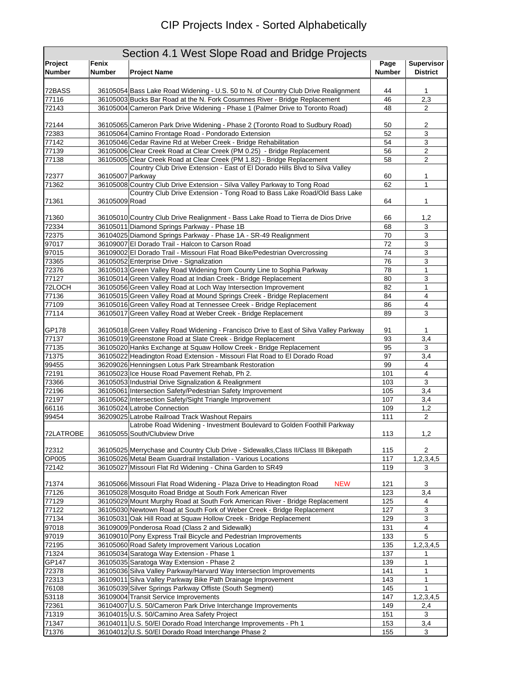## CIP Projects Index - Sorted Alphabetically

| Section 4.1 West Slope Road and Bridge Projects |                  |                                                                                                                                                                  |               |                                             |  |
|-------------------------------------------------|------------------|------------------------------------------------------------------------------------------------------------------------------------------------------------------|---------------|---------------------------------------------|--|
| Project                                         | Fenix            |                                                                                                                                                                  |               | <b>Supervisor</b>                           |  |
| <b>Number</b>                                   | <b>Number</b>    | <b>Project Name</b>                                                                                                                                              | <b>Number</b> | <b>District</b>                             |  |
|                                                 |                  |                                                                                                                                                                  |               |                                             |  |
| 72BASS<br>77116                                 |                  | 36105054 Bass Lake Road Widening - U.S. 50 to N. of Country Club Drive Realignment<br>36105003 Bucks Bar Road at the N. Fork Cosumnes River - Bridge Replacement | 44<br>46      | 1<br>2,3                                    |  |
| 72143                                           |                  | 36105004 Cameron Park Drive Widening - Phase 1 (Palmer Drive to Toronto Road)                                                                                    | 48            | $\overline{2}$                              |  |
|                                                 |                  |                                                                                                                                                                  |               |                                             |  |
| 72144                                           |                  | 36105065 Cameron Park Drive Widening - Phase 2 (Toronto Road to Sudbury Road)                                                                                    | 50            | $\overline{2}$                              |  |
| 72383                                           |                  | 36105064 Camino Frontage Road - Pondorado Extension                                                                                                              | 52            | 3                                           |  |
| 77142                                           |                  | 36105046 Cedar Ravine Rd at Weber Creek - Bridge Rehabilitation                                                                                                  | 54            | 3                                           |  |
| 77139                                           |                  | 36105006 Clear Creek Road at Clear Creek (PM 0.25) - Bridge Replacement                                                                                          | 56            | $\sqrt{2}$                                  |  |
| 77138                                           |                  | 36105005 Clear Creek Road at Clear Creek (PM 1.82) - Bridge Replacement                                                                                          | 58            | $\overline{c}$                              |  |
| 72377                                           | 36105007 Parkway | Country Club Drive Extension - East of El Dorado Hills Blvd to Silva Valley                                                                                      | 60            | 1                                           |  |
| 71362                                           |                  | 36105008 Country Club Drive Extension - Silva Valley Parkway to Tong Road                                                                                        | 62            | 1                                           |  |
|                                                 |                  | Country Club Drive Extension - Tong Road to Bass Lake Road/Old Bass Lake                                                                                         |               |                                             |  |
| 71361                                           | 36105009 Road    |                                                                                                                                                                  | 64            | $\mathbf{1}$                                |  |
|                                                 |                  |                                                                                                                                                                  |               |                                             |  |
| 71360                                           |                  | 36105010 Country Club Drive Realignment - Bass Lake Road to Tierra de Dios Drive                                                                                 | 66            | 1,2                                         |  |
| 72334                                           |                  | 36105011 Diamond Springs Parkway - Phase 1B                                                                                                                      | 68            | 3                                           |  |
| 72375<br>97017                                  |                  | 36104025 Diamond Springs Parkway - Phase 1A - SR-49 Realignment<br>36109007 El Dorado Trail - Halcon to Carson Road                                              | 70<br>72      | 3<br>3                                      |  |
| 97015                                           |                  | 36109002 El Dorado Trail - Missouri Flat Road Bike/Pedestrian Overcrossing                                                                                       | $74\,$        | $\ensuremath{\mathsf{3}}$                   |  |
| 73365                                           |                  | 36105052 Enterprise Drive - Signalization                                                                                                                        | 76            | 3                                           |  |
| 72376                                           |                  | 36105013 Green Valley Road Widening from County Line to Sophia Parkway                                                                                           | 78            | $\mathbf{1}$                                |  |
| 77127                                           |                  | 36105014 Green Valley Road at Indian Creek - Bridge Replacement                                                                                                  | 80            | 3                                           |  |
| 72LOCH                                          |                  | 36105056 Green Valley Road at Loch Way Intersection Improvement                                                                                                  | 82            | 1                                           |  |
| 77136                                           |                  | 36105015 Green Valley Road at Mound Springs Creek - Bridge Replacement                                                                                           | 84            | 4                                           |  |
| 77109                                           |                  | 36105016 Green Valley Road at Tennessee Creek - Bridge Replacement                                                                                               | 86            | $\overline{4}$                              |  |
| 77114                                           |                  | 36105017 Green Valley Road at Weber Creek - Bridge Replacement                                                                                                   | 89            | 3                                           |  |
|                                                 |                  |                                                                                                                                                                  |               |                                             |  |
| GP178<br>77137                                  |                  | 36105018 Green Valley Road Widening - Francisco Drive to East of Silva Valley Parkway<br>36105019 Greenstone Road at Slate Creek - Bridge Replacement            | 91<br>93      | 1<br>3,4                                    |  |
| 77135                                           |                  | 36105020 Hanks Exchange at Squaw Hollow Creek - Bridge Replacement                                                                                               | 95            | 3                                           |  |
| 71375                                           |                  | 36105022 Headington Road Extension - Missouri Flat Road to El Dorado Road                                                                                        | 97            | 3,4                                         |  |
| 99455                                           |                  | 36209026 Henningsen Lotus Park Streambank Restoration                                                                                                            | 99            | 4                                           |  |
| 72191                                           |                  | 36105023 Ice House Road Pavement Rehab, Ph 2.                                                                                                                    | 101           | 4                                           |  |
| 73366                                           |                  | 36105053 Industrial Drive Signalization & Realignment                                                                                                            | 103           | 3                                           |  |
| 72196                                           |                  | 36105061 Intersection Safety/Pedestrian Safety Improvement                                                                                                       | 105           | 3,4                                         |  |
| 72197                                           |                  | 36105062 Intersection Safety/Sight Triangle Improvement                                                                                                          | 107           | 3,4                                         |  |
| 66116                                           |                  | 36105024 Latrobe Connection                                                                                                                                      | 109           | 1,2                                         |  |
| 99454                                           |                  | 36209025 Latrobe Railroad Track Washout Repairs                                                                                                                  | 111           | 2                                           |  |
| 72LATROBE                                       |                  | Latrobe Road Widening - Investment Boulevard to Golden Foothill Parkway<br>36105055 South/Clubview Drive                                                         | 113           | 1,2                                         |  |
| 72312                                           |                  | 36105025 Merrychase and Country Club Drive - Sidewalks, Class II/Class III Bikepath                                                                              | 115           | 2                                           |  |
| OP005                                           |                  | 36105026 Metal Beam Guardrail Installation - Various Locations                                                                                                   | 117           | 1,2,3,4,5                                   |  |
| 72142                                           |                  | 36105027 Missouri Flat Rd Widening - China Garden to SR49                                                                                                        | 119           | 3                                           |  |
|                                                 |                  |                                                                                                                                                                  |               |                                             |  |
| 71374                                           |                  | <b>NEW</b><br>36105066 Missouri Flat Road Widening - Plaza Drive to Headington Road                                                                              | 121           | 3                                           |  |
| 77126                                           |                  | 36105028 Mosquito Road Bridge at South Fork American River                                                                                                       | 123           | 3,4                                         |  |
| 77129<br>77122                                  |                  | 36105029 Mount Murphy Road at South Fork American River - Bridge Replacement<br>36105030 Newtown Road at South Fork of Weber Creek - Bridge Replacement          | 125<br>127    | $\overline{4}$<br>$\ensuremath{\mathsf{3}}$ |  |
| 77134                                           |                  | 36105031 Oak Hill Road at Squaw Hollow Creek - Bridge Replacement                                                                                                | 129           | $\mathsf 3$                                 |  |
| 97018                                           |                  | 36109009 Ponderosa Road (Class 2 and Sidewalk)                                                                                                                   | 131           | $\overline{4}$                              |  |
| 97019                                           |                  | 36109010 Pony Express Trail Bicycle and Pedestrian Improvements                                                                                                  | 133           | 5                                           |  |
| 72195                                           |                  | 36105060 Road Safety Improvement Various Location                                                                                                                | 135           | 1,2,3,4,5                                   |  |
| 71324                                           |                  | 36105034 Saratoga Way Extension - Phase 1                                                                                                                        | 137           | 1                                           |  |
| GP147                                           |                  | 36105035 Saratoga Way Extension - Phase 2                                                                                                                        | 139           | 1                                           |  |
| 72378                                           |                  | 36105036 Silva Valley Parkway/Harvard Way Intersection Improvements                                                                                              | 141           | $\mathbf{1}$                                |  |
| 72313                                           |                  | 36109011 Silva Valley Parkway Bike Path Drainage Improvement                                                                                                     | 143           | 1                                           |  |
| 76108                                           |                  | 36105039 Silver Springs Parkway Offiste (South Segment)                                                                                                          | 145           | 1                                           |  |
| 53118                                           |                  | 36109004 Transit Service Improvements                                                                                                                            | 147           | 1,2,3,4,5                                   |  |
| 72361                                           |                  | 36104007 U.S. 50/Cameron Park Drive Interchange Improvements                                                                                                     | 149           | 2,4                                         |  |
| 71319                                           |                  | 36104015 U.S. 50/Camino Area Safety Project                                                                                                                      | 151           | 3                                           |  |
| 71347<br>71376                                  |                  | 36104011 U.S. 50/El Dorado Road Interchange Improvements - Ph 1<br>36104012 U.S. 50/El Dorado Road Interchange Phase 2                                           | 153<br>155    | 3,4<br>3                                    |  |
|                                                 |                  |                                                                                                                                                                  |               |                                             |  |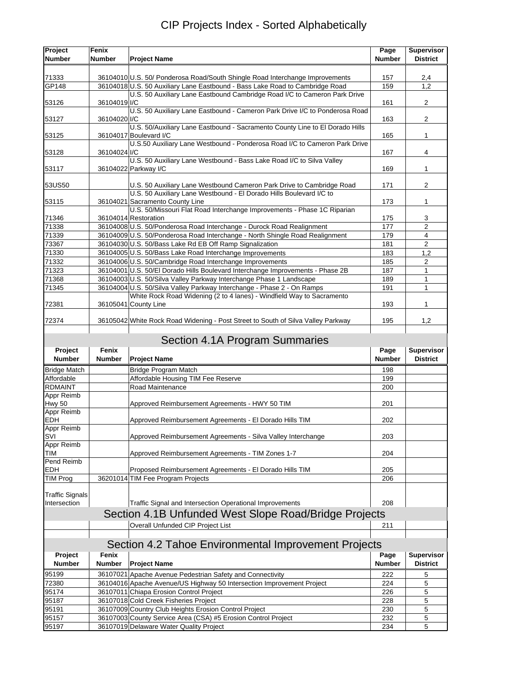## CIP Projects Index - Sorted Alphabetically

| Project<br><b>Number</b>    | Fenix<br>Number        | <b>Project Name</b>                                                                                        | Page<br><b>Number</b> | <b>Supervisor</b><br><b>District</b> |
|-----------------------------|------------------------|------------------------------------------------------------------------------------------------------------|-----------------------|--------------------------------------|
|                             |                        |                                                                                                            |                       |                                      |
| 71333                       |                        | 36104010 U.S. 50/ Ponderosa Road/South Shingle Road Interchange Improvements                               | 157                   | 2,4                                  |
| GP148                       |                        | 36104018 U.S. 50 Auxiliary Lane Eastbound - Bass Lake Road to Cambridge Road                               | 159                   | 1,2                                  |
|                             |                        | U.S. 50 Auxiliary Lane Eastbound Cambridge Road I/C to Cameron Park Drive                                  |                       |                                      |
| 53126                       | 36104019 I/C           | U.S. 50 Auxiliary Lane Eastbound - Cameron Park Drive I/C to Ponderosa Road                                | 161                   | $\overline{2}$                       |
| 53127                       | 36104020 I/C           |                                                                                                            | 163                   | $\overline{c}$                       |
|                             |                        | U.S. 50/Auxiliary Lane Eastbound - Sacramento County Line to El Dorado Hills                               |                       |                                      |
| 53125                       |                        | 36104017 Boulevard I/C                                                                                     | 165                   | 1                                    |
|                             |                        | U.S.50 Auxiliary Lane Westbound - Ponderosa Road I/C to Cameron Park Drive                                 |                       |                                      |
| 53128                       | 36104024 I/C           | U.S. 50 Auxiliary Lane Westbound - Bass Lake Road I/C to Silva Valley                                      | 167                   | 4                                    |
| 53117                       |                        | 36104022 Parkway I/C                                                                                       | 169                   | 1                                    |
|                             |                        |                                                                                                            |                       |                                      |
| 53US50                      |                        | U.S. 50 Auxiliary Lane Westbound Cameron Park Drive to Cambridge Road                                      | 171                   | $\overline{c}$                       |
|                             |                        | U.S. 50 Auxiliary Lane Westbound - El Dorado Hills Boulevard I/C to                                        |                       |                                      |
| 53115                       |                        | 36104021 Sacramento County Line<br>U.S. 50/Missouri Flat Road Interchange Improvements - Phase 1C Riparian | 173                   | $\mathbf{1}$                         |
| 71346                       |                        | 36104014 Restoration                                                                                       | 175                   | 3                                    |
| 71338                       |                        | 36104008 U.S. 50/Ponderosa Road Interchange - Durock Road Realignment                                      | 177                   | 2                                    |
| 71339                       |                        | 36104009 U.S. 50/Ponderosa Road Interchange - North Shingle Road Realignment                               | 179                   | $\overline{4}$                       |
| 73367                       |                        | 36104030 U.S. 50/Bass Lake Rd EB Off Ramp Signalization                                                    | 181                   | $\overline{2}$                       |
| 71330                       |                        | 36104005 U.S. 50/Bass Lake Road Interchange Improvements                                                   | 183                   | 1,2                                  |
| 71332                       |                        | 36104006 U.S. 50/Cambridge Road Interchange Improvements                                                   | 185                   | $\overline{2}$                       |
| 71323                       |                        | 36104001 U.S. 50/El Dorado Hills Boulevard Interchange Improvements - Phase 2B                             | 187                   | $\mathbf{1}$                         |
| 71368                       |                        | 36104003 U.S. 50/Silva Valley Parkway Interchange Phase 1 Landscape                                        | 189                   | 1                                    |
| 71345                       |                        | 36104004 U.S. 50/Silva Valley Parkway Interchange - Phase 2 - On Ramps                                     | 191                   | 1                                    |
|                             |                        | White Rock Road Widening (2 to 4 lanes) - Windfield Way to Sacramento                                      |                       |                                      |
| 72381                       |                        | 36105041 County Line                                                                                       | 193                   | 1                                    |
| 72374                       |                        | 36105042 White Rock Road Widening - Post Street to South of Silva Valley Parkway                           | 195                   | 1,2                                  |
|                             |                        |                                                                                                            |                       |                                      |
|                             |                        | Section 4.1A Program Summaries                                                                             |                       |                                      |
| Project<br><b>Number</b>    | Fenix<br><b>Number</b> | <b>Project Name</b>                                                                                        | Page<br><b>Number</b> | <b>Supervisor</b><br><b>District</b> |
| <b>Bridge Match</b>         |                        | Bridge Program Match                                                                                       | 198                   |                                      |
| Affordable                  |                        | Affordable Housing TIM Fee Reserve                                                                         | 199                   |                                      |
| <b>RDMAINT</b>              |                        | Road Maintenance                                                                                           | 200                   |                                      |
| Appr Reimb                  |                        |                                                                                                            |                       |                                      |
| <b>Hwy 50</b><br>Appr Reimb |                        | Approved Reimbursement Agreements - HWY 50 TIM                                                             | 201                   |                                      |
| <b>EDH</b>                  |                        | Approved Reimbursement Agreements - El Dorado Hills TIM                                                    | 202                   |                                      |
| Appr Reimb                  |                        |                                                                                                            |                       |                                      |
| SVI                         |                        | Approved Reimbursement Agreements - Silva Valley Interchange                                               | 203                   |                                      |
| Appr Reimb                  |                        |                                                                                                            |                       |                                      |
| TIM<br>Pend Reimb           |                        | Approved Reimbursement Agreements - TIM Zones 1-7                                                          | 204                   |                                      |
| <b>EDH</b>                  |                        | Proposed Reimbursement Agreements - El Dorado Hills TIM                                                    | 205                   |                                      |
| <b>TIM Prog</b>             |                        | 36201014 TIM Fee Program Projects                                                                          | 206                   |                                      |
|                             |                        |                                                                                                            |                       |                                      |
| <b>Traffic Signals</b>      |                        |                                                                                                            |                       |                                      |
| Intersection                |                        | Traffic Signal and Intersection Operational Improvements                                                   | 208                   |                                      |
|                             |                        | Section 4.1B Unfunded West Slope Road/Bridge Projects                                                      |                       |                                      |
|                             |                        | Overall Unfunded CIP Project List                                                                          | 211                   |                                      |
|                             |                        | Section 4.2 Tahoe Environmental Improvement Projects                                                       |                       |                                      |
| Project                     | Fenix                  |                                                                                                            | Page                  | <b>Supervisor</b>                    |
| <b>Number</b>               | Number                 | <b>Project Name</b>                                                                                        | <b>Number</b>         | <b>District</b>                      |
| 95199                       |                        | 36107021 Apache Avenue Pedestrian Safety and Connectivity                                                  | 222                   | 5                                    |
| 72380                       |                        | 36104016 Apache Avenue/US Highway 50 Intersection Improvement Project                                      | 224                   | 5                                    |
| 95174                       |                        | 36107011 Chiapa Erosion Control Project                                                                    | 226                   | 5                                    |
| 95187                       |                        | 36107018 Cold Creek Fisheries Project                                                                      | 228                   | 5                                    |
| 95191                       |                        | 36107009 Country Club Heights Erosion Control Project                                                      | 230                   | 5                                    |
| 95157                       |                        | 36107003 County Service Area (CSA) #5 Erosion Control Project                                              | 232                   | 5                                    |
| 95197                       |                        | 36107019 Delaware Water Quality Project                                                                    | 234                   | 5                                    |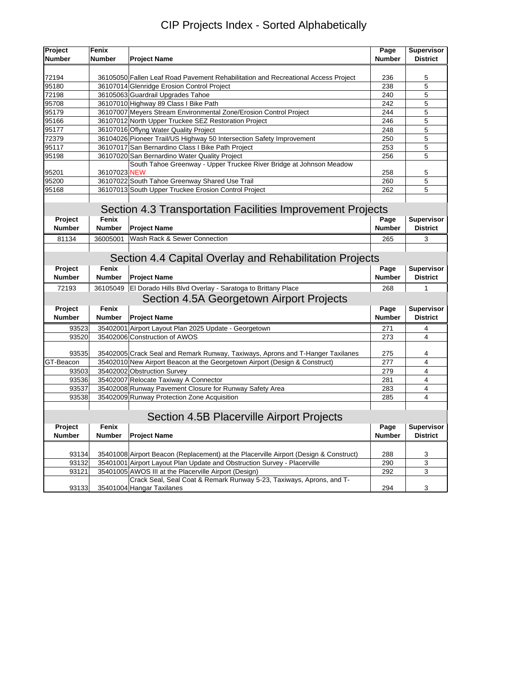| <b>CIP Projects Index - Sorted Alphabetically</b> |  |  |
|---------------------------------------------------|--|--|
|---------------------------------------------------|--|--|

| Project                                   | Fenix         |                                                                                       | Page          | <b>Supervisor</b>       |  |  |
|-------------------------------------------|---------------|---------------------------------------------------------------------------------------|---------------|-------------------------|--|--|
| <b>Number</b>                             | <b>Number</b> | <b>Project Name</b>                                                                   | <b>Number</b> | <b>District</b>         |  |  |
|                                           |               |                                                                                       |               |                         |  |  |
| 72194                                     |               | 36105050 Fallen Leaf Road Pavement Rehabilitation and Recreational Access Project     | 236           | 5                       |  |  |
| 95180                                     |               | 36107014 Glenridge Erosion Control Project                                            | 238           | 5                       |  |  |
| 72198                                     |               | 36105063 Guardrail Upgrades Tahoe                                                     | 240           | 5                       |  |  |
| 95708                                     |               | 36107010 Highway 89 Class I Bike Path                                                 | 242           | 5                       |  |  |
| 95179                                     |               | 36107007 Meyers Stream Environmental Zone/Erosion Control Project                     | 244           | 5                       |  |  |
| 95166                                     |               | 36107012 North Upper Truckee SEZ Restoration Project                                  | 246           | 5                       |  |  |
| 95177                                     |               | 36107016 Oflyng Water Quality Project                                                 | 248           | 5                       |  |  |
| 72379                                     |               | 36104026 Pioneer Trail/US Highway 50 Intersection Safety Improvement                  | 250           | 5                       |  |  |
| 95117                                     |               | 36107017 San Bernardino Class I Bike Path Project                                     | 253           | 5                       |  |  |
| 95198                                     |               | 36107020 San Bernardino Water Quality Project                                         | 256           | 5                       |  |  |
| 95201                                     | 36107023 NEW  | South Tahoe Greenway - Upper Truckee River Bridge at Johnson Meadow                   | 258           | 5                       |  |  |
| 95200                                     |               | 36107022 South Tahoe Greenway Shared Use Trail                                        | 260           | 5                       |  |  |
| 95168                                     |               | 36107013 South Upper Truckee Erosion Control Project                                  | 262           | 5                       |  |  |
|                                           |               |                                                                                       |               |                         |  |  |
|                                           |               | Section 4.3 Transportation Facilities Improvement Projects                            |               |                         |  |  |
| Project                                   | Fenix         |                                                                                       | Page          | <b>Supervisor</b>       |  |  |
| <b>Number</b>                             | <b>Number</b> | <b>Project Name</b>                                                                   | <b>Number</b> | <b>District</b>         |  |  |
| 81134                                     | 36005001      | Wash Rack & Sewer Connection                                                          | 265           | 3                       |  |  |
|                                           |               |                                                                                       |               |                         |  |  |
|                                           |               |                                                                                       |               |                         |  |  |
|                                           |               | Section 4.4 Capital Overlay and Rehabilitation Projects                               |               |                         |  |  |
| Project                                   | Fenix         |                                                                                       | Page          | <b>Supervisor</b>       |  |  |
| <b>Number</b>                             | <b>Number</b> | <b>Project Name</b>                                                                   | <b>Number</b> | <b>District</b>         |  |  |
| 72193                                     | 36105049      | El Dorado Hills Blvd Overlay - Saratoga to Brittany Place                             | 268           | 1                       |  |  |
|                                           |               | Section 4.5A Georgetown Airport Projects                                              |               |                         |  |  |
| Project                                   | Fenix         |                                                                                       | Page          | Supervisor              |  |  |
| <b>Number</b>                             | <b>Number</b> | <b>Project Name</b>                                                                   | <b>Number</b> | <b>District</b>         |  |  |
| 93523                                     |               | 35402001 Airport Layout Plan 2025 Update - Georgetown                                 | 271           | 4                       |  |  |
| 93520                                     |               | 35402006 Construction of AWOS                                                         | 273           | 4                       |  |  |
|                                           |               |                                                                                       |               |                         |  |  |
| 93535                                     |               | 35402005 Crack Seal and Remark Runway, Taxiways, Aprons and T-Hanger Taxilanes        | 275           | 4                       |  |  |
| GT-Beacon                                 |               | 35402010 New Airport Beacon at the Georgetown Airport (Design & Construct)            | 277           | $\overline{\mathbf{4}}$ |  |  |
| 93503                                     |               | 35402002 Obstruction Survey                                                           | 279           | $\overline{4}$          |  |  |
| 93536                                     |               | 35402007 Relocate Taxiway A Connector                                                 | 281           | $\overline{4}$          |  |  |
| 93537                                     |               | 35402008 Runway Pavement Closure for Runway Safety Area                               | 283           | $\overline{4}$          |  |  |
| 93538                                     |               | 35402009 Runway Protection Zone Acquisition                                           | 285           | $\overline{\mathbf{4}}$ |  |  |
| Section 4.5B Placerville Airport Projects |               |                                                                                       |               |                         |  |  |
| Project                                   | Fenix         |                                                                                       | Page          | <b>Supervisor</b>       |  |  |
| <b>Number</b>                             | <b>Number</b> | <b>Project Name</b>                                                                   | <b>Number</b> | <b>District</b>         |  |  |
|                                           |               |                                                                                       |               |                         |  |  |
| 93134                                     |               | 35401008 Airport Beacon (Replacement) at the Placerville Airport (Design & Construct) | 288           | 3                       |  |  |
| 93132                                     |               | 35401001 Airport Layout Plan Update and Obstruction Survey - Placerville              | 290           | 3                       |  |  |
| 93121                                     |               | 35401005 AWOS III at the Placerville Airport (Design)                                 | 292           | 3                       |  |  |
|                                           |               | Crack Seal, Seal Coat & Remark Runway 5-23, Taxiways, Aprons, and T-                  |               |                         |  |  |
| 93133                                     |               | 35401004 Hangar Taxilanes                                                             | 294           | 3                       |  |  |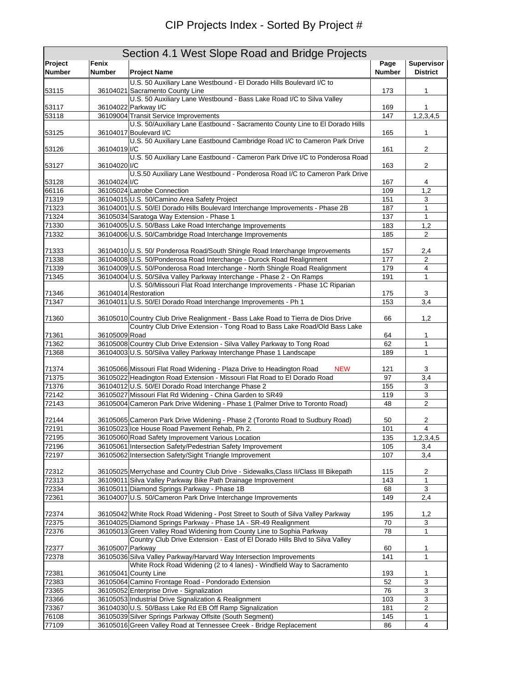| Section 4.1 West Slope Road and Bridge Projects |                  |                                                                                                                                            |               |                   |  |  |
|-------------------------------------------------|------------------|--------------------------------------------------------------------------------------------------------------------------------------------|---------------|-------------------|--|--|
| Project                                         | Fenix            |                                                                                                                                            | Page          | <b>Supervisor</b> |  |  |
| <b>Number</b>                                   | <b>Number</b>    | <b>Project Name</b>                                                                                                                        | <b>Number</b> | <b>District</b>   |  |  |
|                                                 |                  | U.S. 50 Auxiliary Lane Westbound - El Dorado Hills Boulevard I/C to                                                                        |               |                   |  |  |
| 53115                                           |                  | 36104021 Sacramento County Line                                                                                                            | 173           | 1                 |  |  |
|                                                 |                  | U.S. 50 Auxiliary Lane Westbound - Bass Lake Road I/C to Silva Valley                                                                      |               |                   |  |  |
| 53117<br>53118                                  |                  | 36104022 Parkway I/C<br>36109004 Transit Service Improvements                                                                              | 169<br>147    | 1<br>1,2,3,4,5    |  |  |
|                                                 |                  | U.S. 50/Auxiliary Lane Eastbound - Sacramento County Line to El Dorado Hills                                                               |               |                   |  |  |
| 53125                                           |                  | 36104017 Boulevard I/C                                                                                                                     | 165           | 1                 |  |  |
|                                                 |                  | U.S. 50 Auxiliary Lane Eastbound Cambridge Road I/C to Cameron Park Drive                                                                  |               |                   |  |  |
| 53126                                           | 36104019 I/C     |                                                                                                                                            | 161           | $\overline{2}$    |  |  |
|                                                 |                  | U.S. 50 Auxiliary Lane Eastbound - Cameron Park Drive I/C to Ponderosa Road                                                                |               |                   |  |  |
| 53127                                           | 36104020 I/C     |                                                                                                                                            | 163           | $\overline{2}$    |  |  |
|                                                 |                  | U.S.50 Auxiliary Lane Westbound - Ponderosa Road I/C to Cameron Park Drive                                                                 |               |                   |  |  |
| 53128<br>66116                                  | 36104024 I/C     | 36105024 Latrobe Connection                                                                                                                | 167<br>109    | 4<br>1,2          |  |  |
| 71319                                           |                  | 36104015 U.S. 50/Camino Area Safety Project                                                                                                | 151           | 3                 |  |  |
| 71323                                           |                  | 36104001 U.S. 50/El Dorado Hills Boulevard Interchange Improvements - Phase 2B                                                             | 187           | $\mathbf{1}$      |  |  |
| 71324                                           |                  | 36105034 Saratoga Way Extension - Phase 1                                                                                                  | 137           | $\mathbf{1}$      |  |  |
| 71330                                           |                  | 36104005 U.S. 50/Bass Lake Road Interchange Improvements                                                                                   | 183           | 1,2               |  |  |
| 71332                                           |                  | 36104006 U.S. 50/Cambridge Road Interchange Improvements                                                                                   | 185           | $\overline{2}$    |  |  |
|                                                 |                  |                                                                                                                                            |               |                   |  |  |
| 71333                                           |                  | 36104010 U.S. 50/ Ponderosa Road/South Shingle Road Interchange Improvements                                                               | 157           | 2,4               |  |  |
| 71338                                           |                  | 36104008 U.S. 50/Ponderosa Road Interchange - Durock Road Realignment                                                                      | 177           | 2                 |  |  |
| 71339                                           |                  | 36104009 U.S. 50/Ponderosa Road Interchange - North Shingle Road Realignment                                                               | 179           | 4                 |  |  |
| 71345                                           |                  | 36104004 U.S. 50/Silva Valley Parkway Interchange - Phase 2 - On Ramps                                                                     | 191           | 1                 |  |  |
|                                                 |                  | U.S. 50/Missouri Flat Road Interchange Improvements - Phase 1C Riparian                                                                    |               |                   |  |  |
| 71346                                           |                  | 36104014 Restoration                                                                                                                       | 175           | 3                 |  |  |
| 71347                                           |                  | 36104011 U.S. 50/El Dorado Road Interchange Improvements - Ph 1                                                                            | 153           | 3,4               |  |  |
| 71360                                           |                  | 36105010 Country Club Drive Realignment - Bass Lake Road to Tierra de Dios Drive                                                           | 66            | 1,2               |  |  |
|                                                 |                  | Country Club Drive Extension - Tong Road to Bass Lake Road/Old Bass Lake                                                                   |               |                   |  |  |
| 71361                                           | 36105009 Road    |                                                                                                                                            | 64            | 1                 |  |  |
| 71362                                           |                  | 36105008 Country Club Drive Extension - Silva Valley Parkway to Tong Road                                                                  | 62            | $\mathbf{1}$      |  |  |
| 71368                                           |                  | 36104003 U.S. 50/Silva Valley Parkway Interchange Phase 1 Landscape                                                                        | 189           | $\mathbf{1}$      |  |  |
|                                                 |                  |                                                                                                                                            |               |                   |  |  |
| 71374                                           |                  | 36105066 Missouri Flat Road Widening - Plaza Drive to Headington Road<br><b>NEW</b>                                                        | 121           | 3                 |  |  |
| 71375                                           |                  | 36105022 Headington Road Extension - Missouri Flat Road to El Dorado Road                                                                  | 97            | 3,4               |  |  |
| 71376                                           |                  | 36104012 U.S. 50/El Dorado Road Interchange Phase 2                                                                                        | 155           | 3                 |  |  |
| 72142<br>72143                                  |                  | 36105027 Missouri Flat Rd Widening - China Garden to SR49<br>36105004 Cameron Park Drive Widening - Phase 1 (Palmer Drive to Toronto Road) | 119<br>48     | 3<br>2            |  |  |
|                                                 |                  |                                                                                                                                            |               |                   |  |  |
| 72144                                           |                  | 36105065 Cameron Park Drive Widening - Phase 2 (Toronto Road to Sudbury Road)                                                              | 50            | 2                 |  |  |
| 72191                                           |                  | 36105023 Ice House Road Pavement Rehab, Ph 2.                                                                                              | 101           | 4                 |  |  |
| 72195                                           |                  | 36105060 Road Safety Improvement Various Location                                                                                          | 135           | 1,2,3,4,5         |  |  |
| 72196                                           |                  | 36105061 Intersection Safety/Pedestrian Safety Improvement                                                                                 | 105           | 3,4               |  |  |
| 72197                                           |                  | 36105062 Intersection Safety/Sight Triangle Improvement                                                                                    | 107           | 3,4               |  |  |
|                                                 |                  |                                                                                                                                            |               |                   |  |  |
| 72312                                           |                  | 36105025 Merrychase and Country Club Drive - Sidewalks, Class II/Class III Bikepath                                                        | 115           | 2                 |  |  |
| 72313                                           |                  | 36109011 Silva Valley Parkway Bike Path Drainage Improvement                                                                               | 143           | 1                 |  |  |
| 72334                                           |                  | 36105011 Diamond Springs Parkway - Phase 1B                                                                                                | 68            | 3                 |  |  |
| 72361                                           |                  | 36104007 U.S. 50/Cameron Park Drive Interchange Improvements                                                                               | 149           | 2,4               |  |  |
| 72374                                           |                  | 36105042 White Rock Road Widening - Post Street to South of Silva Valley Parkway                                                           | 195           | 1,2               |  |  |
| 72375                                           |                  | 36104025 Diamond Springs Parkway - Phase 1A - SR-49 Realignment                                                                            | 70            | 3                 |  |  |
| 72376                                           |                  | 36105013 Green Valley Road Widening from County Line to Sophia Parkway                                                                     | 78            | 1                 |  |  |
|                                                 |                  | Country Club Drive Extension - East of El Dorado Hills Blvd to Silva Valley                                                                |               |                   |  |  |
| 72377                                           | 36105007 Parkway |                                                                                                                                            | 60            | 1                 |  |  |
| 72378                                           |                  | 36105036 Silva Valley Parkway/Harvard Way Intersection Improvements                                                                        | 141           | 1                 |  |  |
|                                                 |                  | White Rock Road Widening (2 to 4 lanes) - Windfield Way to Sacramento                                                                      |               |                   |  |  |
| 72381                                           |                  | 36105041 County Line                                                                                                                       | 193           | 1                 |  |  |
| 72383                                           |                  | 36105064 Camino Frontage Road - Pondorado Extension                                                                                        | 52            | 3                 |  |  |
| 73365                                           |                  | 36105052 Enterprise Drive - Signalization                                                                                                  | 76            | 3                 |  |  |
| 73366                                           |                  | 36105053 Industrial Drive Signalization & Realignment                                                                                      | 103           | 3                 |  |  |
| 73367                                           |                  | 36104030 U.S. 50/Bass Lake Rd EB Off Ramp Signalization                                                                                    | 181           | $\boldsymbol{2}$  |  |  |
| 76108<br>77109                                  |                  | 36105039 Silver Springs Parkway Offsite (South Segment)                                                                                    | 145           | 1                 |  |  |
|                                                 |                  | 36105016 Green Valley Road at Tennessee Creek - Bridge Replacement                                                                         | 86            | 4                 |  |  |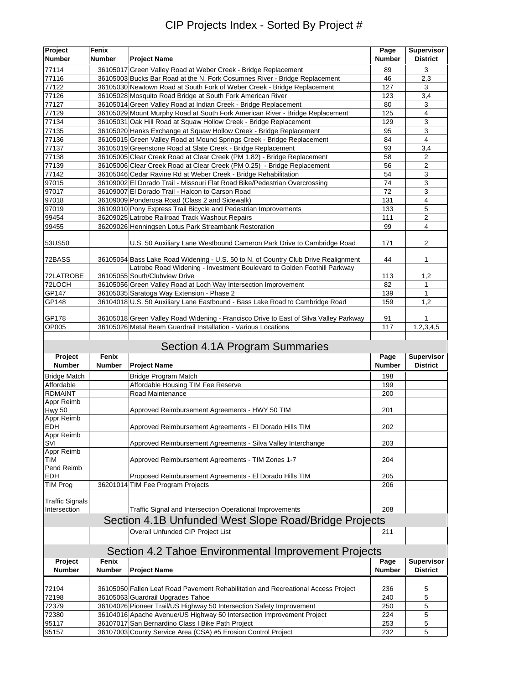## CIP Projects Index - Sorted By Project #

| Project                | Fenix         |                                                                                       | Page          | Supervisor        |
|------------------------|---------------|---------------------------------------------------------------------------------------|---------------|-------------------|
| <b>Number</b>          | Number        | <b>Project Name</b>                                                                   | Number        | <b>District</b>   |
| 77114                  |               | 36105017 Green Valley Road at Weber Creek - Bridge Replacement                        | 89            | 3                 |
| 77116                  |               | 36105003 Bucks Bar Road at the N. Fork Cosumnes River - Bridge Replacement            | 46            | 2,3               |
| 77122                  |               | 36105030 Newtown Road at South Fork of Weber Creek - Bridge Replacement               | 127           | 3                 |
| 77126                  |               | 36105028 Mosquito Road Bridge at South Fork American River                            | 123           | 3,4               |
| 77127                  |               | 36105014 Green Valley Road at Indian Creek - Bridge Replacement                       | 80            | 3                 |
| 77129                  |               | 36105029 Mount Murphy Road at South Fork American River - Bridge Replacement          | 125           | 4                 |
| 77134                  |               | 36105031 Oak Hill Road at Squaw Hollow Creek - Bridge Replacement                     | 129           | 3                 |
| 77135                  |               | 36105020 Hanks Exchange at Squaw Hollow Creek - Bridge Replacement                    | 95            | 3                 |
| 77136                  |               | 36105015 Green Valley Road at Mound Springs Creek - Bridge Replacement                | 84            | 4                 |
| 77137                  |               | 36105019 Greenstone Road at Slate Creek - Bridge Replacement                          | 93            | 3,4               |
| 77138                  |               | 36105005 Clear Creek Road at Clear Creek (PM 1.82) - Bridge Replacement               | 58            | 2                 |
| 77139                  |               | 36105006 Clear Creek Road at Clear Creek (PM 0.25) - Bridge Replacement               | 56            | 2                 |
| 77142                  |               | 36105046 Cedar Ravine Rd at Weber Creek - Bridge Rehabilitation                       | 54            | 3                 |
| 97015                  |               | 36109002 El Dorado Trail - Missouri Flat Road Bike/Pedestrian Overcrossing            | 74            | 3                 |
| 97017                  |               | 36109007 El Dorado Trail - Halcon to Carson Road                                      | 72            | 3                 |
| 97018                  |               | 36109009 Ponderosa Road (Class 2 and Sidewalk)                                        | 131           | 4                 |
| 97019                  |               | 36109010 Pony Express Trail Bicycle and Pedestrian Improvements                       | 133           | 5                 |
| 99454                  |               | 36209025 Latrobe Railroad Track Washout Repairs                                       | 111           | $\overline{c}$    |
| 99455                  |               | 36209026 Henningsen Lotus Park Streambank Restoration                                 | 99            | 4                 |
|                        |               |                                                                                       |               |                   |
| 53US50                 |               | U.S. 50 Auxiliary Lane Westbound Cameron Park Drive to Cambridge Road                 | 171           | 2                 |
|                        |               |                                                                                       |               |                   |
| 72BASS                 |               | 36105054 Bass Lake Road Widening - U.S. 50 to N. of Country Club Drive Realignment    | 44            | $\mathbf{1}$      |
|                        |               | Latrobe Road Widening - Investment Boulevard to Golden Foothill Parkway               |               |                   |
| 72LATROBE              |               | 36105055 South/Clubview Drive                                                         | 113           | 1,2               |
| 72LOCH                 |               | 36105056 Green Valley Road at Loch Way Intersection Improvement                       | 82            | 1                 |
| GP147                  |               | 36105035 Saratoga Way Extension - Phase 2                                             | 139           | $\mathbf{1}$      |
| GP148                  |               | 36104018 U.S. 50 Auxiliary Lane Eastbound - Bass Lake Road to Cambridge Road          | 159           | 1,2               |
|                        |               |                                                                                       |               |                   |
| GP178                  |               | 36105018 Green Valley Road Widening - Francisco Drive to East of Silva Valley Parkway | 91            |                   |
| OP005                  |               | 36105026 Metal Beam Guardrail Installation - Various Locations                        | 117           | 1,2,3,4,5         |
|                        |               |                                                                                       |               |                   |
|                        |               | Section 4.1A Program Summaries                                                        |               |                   |
| Project                | Fenix         |                                                                                       | Page          | <b>Supervisor</b> |
| <b>Number</b>          | Number        | <b>Project Name</b>                                                                   | <b>Number</b> | <b>District</b>   |
| <b>Bridge Match</b>    |               | Bridge Program Match                                                                  | 198           |                   |
| Affordable             |               | Affordable Housing TIM Fee Reserve                                                    | 199           |                   |
| <b>RDMAINT</b>         |               | Road Maintenance                                                                      | 200           |                   |
| Appr Reimb             |               |                                                                                       |               |                   |
| Hwy 50                 |               | Approved Reimbursement Agreements - HWY 50 TIM                                        | 201           |                   |
| Appr Reimb             |               |                                                                                       |               |                   |
| EDH                    |               | Approved Reimbursement Agreements - El Dorado Hills TIM                               | 202           |                   |
| Appr Reimb             |               |                                                                                       |               |                   |
| SVI                    |               | Approved Reimbursement Agreements - Silva Valley Interchange                          | 203           |                   |
| Appr Reimb             |               |                                                                                       |               |                   |
| TIM                    |               | Approved Reimbursement Agreements - TIM Zones 1-7                                     | 204           |                   |
| Pend Reimb             |               |                                                                                       |               |                   |
| EDH                    |               | Proposed Reimbursement Agreements - El Dorado Hills TIM                               | 205           |                   |
| <b>TIM Prog</b>        |               | 36201014 TIM Fee Program Projects                                                     | 206           |                   |
|                        |               |                                                                                       |               |                   |
| <b>Traffic Signals</b> |               |                                                                                       |               |                   |
| Intersection           |               | Traffic Signal and Intersection Operational Improvements                              | 208           |                   |
|                        |               | Section 4.1B Unfunded West Slope Road/Bridge Projects                                 |               |                   |
|                        |               | Overall Unfunded CIP Project List                                                     | 211           |                   |
|                        |               |                                                                                       |               |                   |
|                        |               | Section 4.2 Tahoe Environmental Improvement Projects                                  |               |                   |
|                        |               |                                                                                       |               |                   |
| Project                | Fenix         |                                                                                       | Page          | Supervisor        |
| Number                 | <b>Number</b> | <b>Project Name</b>                                                                   | <b>Number</b> | <b>District</b>   |
|                        |               |                                                                                       |               |                   |
| 72194                  |               | 36105050 Fallen Leaf Road Pavement Rehabilitation and Recreational Access Project     | 236           | 5                 |
| 72198                  |               | 36105063 Guardrail Upgrades Tahoe                                                     | 240           | 5                 |
| 72379                  |               | 36104026 Pioneer Trail/US Highway 50 Intersection Safety Improvement                  | 250           | 5                 |
| 72380                  |               | 36104016 Apache Avenue/US Highway 50 Intersection Improvement Project                 | 224           | 5                 |
| 95117                  |               | 36107017 San Bernardino Class I Bike Path Project                                     | 253           | 5                 |
| 95157                  |               | 36107003 County Service Area (CSA) #5 Erosion Control Project                         | 232           | 5                 |